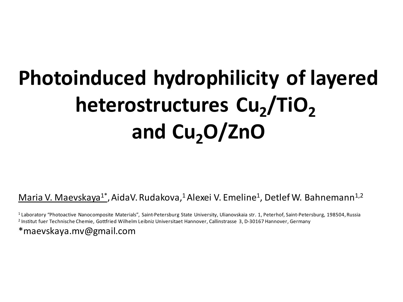## **Photoinduced hydrophilicity of layered heterostructures Cu<sup>2</sup> /TiO<sup>2</sup> and Cu2O/ZnO**

<u>Maria V. Maevskaya<sup>1\*</sup>,</u> AidaV. Rudakova,<sup>1</sup> Alexei V. Emeline<sup>1</sup>, Detlef W. Bahnemann<sup>1,2</sup>

<sup>1</sup>Laboratory "Photoactive Nanocomposite Materials", Saint-Petersburg State University, Ulianovskaia str. 1, Peterhof, Saint-Petersburg, 198504, Russia <sup>2</sup> Institut fuer Technische Chemie, Gottfried Wilhelm Leibniz Universitaet Hannover, Callinstrasse 3, D-30167 Hannover, Germany

\*maevskaya.mv@gmail.com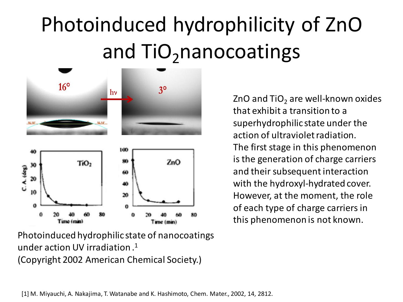## Photoinduced hydrophilicity of ZnO and  $TiO<sub>2</sub>$ nanocoatings



Photoinduced hydrophilic state of nanocoatings under action UV irradiation . 1 (Copyright 2002 American Chemical Society.)

ZnO and  $TiO<sub>2</sub>$  are well-known oxides that exhibit a transition to a superhydrophilic state under the action of ultraviolet radiation. The first stage in this phenomenon is the generation of charge carriers and their subsequent interaction with the hydroxyl-hydrated cover. However, at the moment, the role of each type of charge carriers in this phenomenon is not known.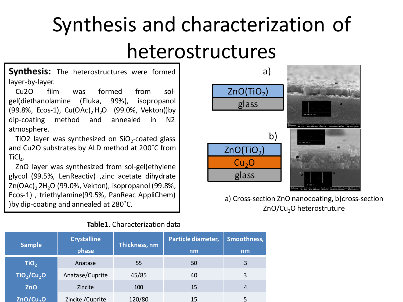## Synthesis and characterization of heterostructures

**Synthesis:** The heterostructures were formed layer-by-layer.

 Cu2O film was formed from solgel(diethanolamine (Fluka, 99%), isopropanol (99.8%, Ecos-1), Cu(OAc)<sub>2</sub>H<sub>2</sub>O (99.0%, Vekton))by dip-coating method and annealed in N2 atmosphere.

TiO2 layer was synthesized on  $SiO_2$ -coated glass and Cu2O substrates by ALD method at 200˚C from  $\mathsf{TiCl}_4$ .

 ZnO layer was synthesized from sol-gel(ethylene glycol (99.5%, LenReactiv) ,zinc acetate dihydrate Zn(OAc)<sub>2</sub> 2H<sub>2</sub>O (99.0%, Vekton), isopropanol (99.8%, Ecos-1) , triethylamine(99.5%, PanReac AppliChem) )by dip-coating and annealed at 280˚C.



#### **Table1**. Characterization data



a) Cross-section ZnO nanocoating, b)cross-section ZnO/Cu<sub>2</sub>O heterostruture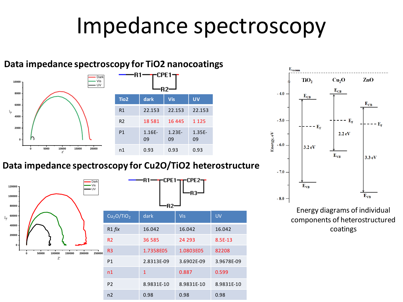### Impedance spectroscopy



#### **Data impedance spectroscopy for TiO2 nanocoatings**









Energy diagrams of individual components of heterostructured coatings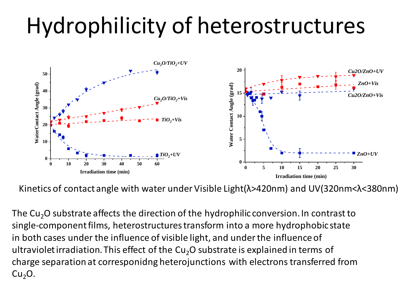# Hydrophilicity of heterostructures



Kinetics of contact angle with water under Visible Light(λ>420nm) and UV(320nm<λ<380nm)

The  $Cu<sub>2</sub>O$  substrate affects the direction of the hydrophilic conversion. In contrast to single-component films, heterostructurestransform into a more hydrophobic state in both cases under the influence of visible light, and under the influence of ultraviolet irradiation. This effect of the  $Cu<sub>2</sub>O$  substrate is explained in terms of charge separation at corresponidng heterojunctions with electrons transferred from  $Cu<sub>2</sub>O.$